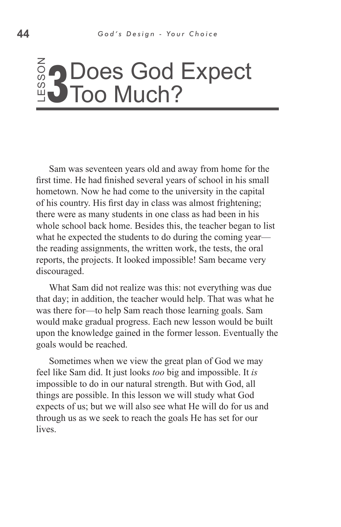## ss o **3 Does God Expect<br><u>9</u> Does God Expect** Too Much?

Sam was seventeen years old and away from home for the first time. He had finished several years of school in his small hometown. Now he had come to the university in the capital of his country. His first day in class was almost frightening; there were as many students in one class as had been in his whole school back home. Besides this, the teacher began to list what he expected the students to do during the coming year the reading assignments, the written work, the tests, the oral reports, the projects. It looked impossible! Sam became very discouraged. Lives of this same that the report of this set of this set of the report of the report of the report of the report of the report of the report of the report of the report of the report of the report of the report of the re

What Sam did not realize was this: not everything was due that day; in addition, the teacher would help. That was what he was there for—to help Sam reach those learning goals. Sam would make gradual progress. Each new lesson would be built upon the knowledge gained in the former lesson. Eventually the goals would be reached.

Sometimes when we view the great plan of God we may feel like Sam did. It just looks *too* big and impossible. It *is* impossible to do in our natural strength. But with God, all things are possible. In this lesson we will study what God expects of us; but we will also see what He will do for us and through us as we seek to reach the goals He has set for our *lives*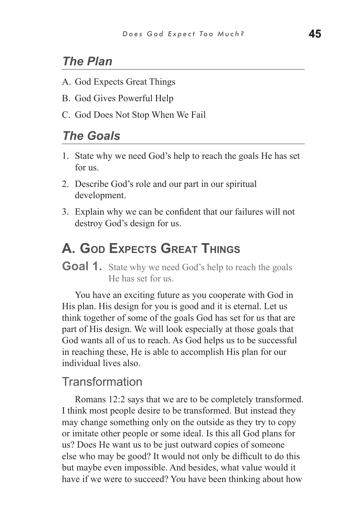## *The Plan*

- A. God Expects Great Things
- B. God Gives Powerful Help
- C. God Does Not Stop When We Fail

#### *The Goals*

- 1. State why we need God's help to reach the goals He has set for us.
- 2. Describe God's role and our part in our spiritual development.
- 3. Explain why we can be confident that our failures will not destroy God's design for us.

# **A. God Expects Great Things**

**Goal 1.** State why we need God's help to reach the goals He has set for us.

You have an exciting future as you cooperate with God in His plan. His design for you is good and it is eternal. Let us think together of some of the goals God has set for us that are part of His design. We will look especially at those goals that God wants all of us to reach. As God helps us to be successful in reaching these, He is able to accomplish His plan for our individual lives also.

#### **Transformation**

Romans 12:2 says that we are to be completely transformed. I think most people desire to be transformed. But instead they may change something only on the outside as they try to copy or imitate other people or some ideal. Is this all God plans for us? Does He want us to be just outward copies of someone else who may be good? It would not only be difficult to do this but maybe even impossible. And besides, what value would it have if we were to succeed? You have been thinking about how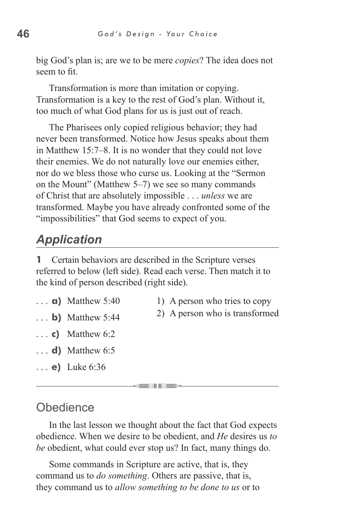big God's plan is; are we to be mere *copies*? The idea does not seem to fit.

Transformation is more than imitation or copying. Transformation is a key to the rest of God's plan. Without it, too much of what God plans for us is just out of reach.

The Pharisees only copied religious behavior; they had never been transformed. Notice how Jesus speaks about them in Matthew 15:7–8. It is no wonder that they could not love their enemies. We do not naturally love our enemies either, nor do we bless those who curse us. Looking at the "Sermon on the Mount" (Matthew 5–7) we see so many commands of Christ that are absolutely impossible . . . *unless* we are transformed. Maybe you have already confronted some of the "impossibilities" that God seems to expect of you.

# *Application*

**1** Certain behaviors are described in the Scripture verses referred to below (left side). Read each verse. Then match it to the kind of person described (right side).

- **a)** Matthew 5:40
- 1) A person who tries to copy
- **b)** Matthew 5:44 2) A person who is transformed
- **c)** Matthew 6:2
- **d)** Matthew 6:5
- **e)** Luke 6:36

#### **Obedience**

In the last lesson we thought about the fact that God expects obedience. When we desire to be obedient, and *He* desires us *to be* obedient, what could ever stop us? In fact, many things do.

. . .

Some commands in Scripture are active, that is, they command us to *do something*. Others are passive, that is, they command us to *allow something to be done to us* or to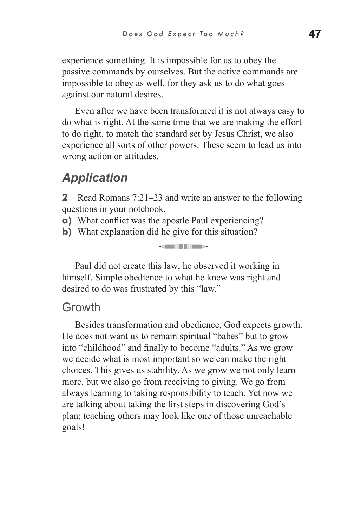experience something. It is impossible for us to obey the passive commands by ourselves. But the active commands are impossible to obey as well, for they ask us to do what goes against our natural desires.

Even after we have been transformed it is not always easy to do what is right. At the same time that we are making the effort to do right, to match the standard set by Jesus Christ, we also experience all sorts of other powers. These seem to lead us into wrong action or attitudes.

## *Application*

**2** Read Romans 7:21–23 and write an answer to the following questions in your notebook.

**STELL LIBER** 

- **a)** What conflict was the apostle Paul experiencing?
- **b)** What explanation did he give for this situation?

Paul did not create this law; he observed it working in himself. Simple obedience to what he knew was right and desired to do was frustrated by this "law."

#### Growth

Besides transformation and obedience, God expects growth. He does not want us to remain spiritual "babes" but to grow into "childhood" and finally to become "adults." As we grow we decide what is most important so we can make the right choices. This gives us stability. As we grow we not only learn more, but we also go from receiving to giving. We go from always learning to taking responsibility to teach. Yet now we are talking about taking the first steps in discovering God's plan; teaching others may look like one of those unreachable goals!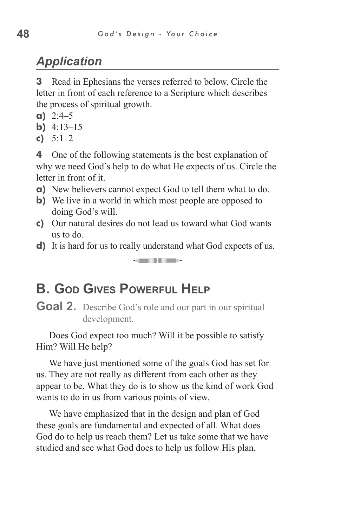# *Application*

**3** Read in Ephesians the verses referred to below. Circle the letter in front of each reference to a Scripture which describes the process of spiritual growth.

- **a)** 2:4–5
- **b)** 4:13–15
- **c)** 5:1–2

**4** One of the following statements is the best explanation of why we need God's help to do what He expects of us. Circle the letter in front of it.

- **a)** New believers cannot expect God to tell them what to do.
- **b**) We live in a world in which most people are opposed to doing God's will.
- **c)** Our natural desires do not lead us toward what God wants us to do.
- **d)** It is hard for us to really understand what God expects of us. **GENERAL MEDIA**

# **B. God Gives Powerful Help**

**Goal 2.** Describe God's role and our part in our spiritual development.

Does God expect too much? Will it be possible to satisfy Him? Will He help?

We have just mentioned some of the goals God has set for us. They are not really as different from each other as they appear to be. What they do is to show us the kind of work God wants to do in us from various points of view.

We have emphasized that in the design and plan of God these goals are fundamental and expected of all. What does God do to help us reach them? Let us take some that we have studied and see what God does to help us follow His plan.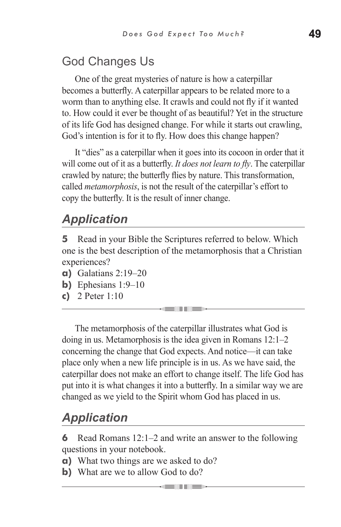# God Changes Us

One of the great mysteries of nature is how a caterpillar becomes a butterfly. A caterpillar appears to be related more to a worm than to anything else. It crawls and could not fly if it wanted to. How could it ever be thought of as beautiful? Yet in the structure of its life God has designed change. For while it starts out crawling, God's intention is for it to fly. How does this change happen?

It "dies" as a caterpillar when it goes into its cocoon in order that it will come out of it as a butterfly. *It does not learn to fly*. The caterpillar crawled by nature; the butterfly flies by nature. This transformation, called *metamorphosis*, is not the result of the caterpillar's effort to copy the butterfly. It is the result of inner change.

# *Application*

**5** Read in your Bible the Scriptures referred to below. Which one is the best description of the metamorphosis that a Christian experiences?

- **a)** Galatians 2:19–20
- **b)** Ephesians 1:9–10
- **c)** 2 Peter 1:10

The metamorphosis of the caterpillar illustrates what God is doing in us. Metamorphosis is the idea given in Romans 12:1–2 concerning the change that God expects. And notice—it can take place only when a new life principle is in us. As we have said, the caterpillar does not make an effort to change itself. The life God has put into it is what changes it into a butterfly. In a similar way we are changed as we yield to the Spirit whom God has placed in us.

# *Application*

**6** Read Romans 12:1–2 and write an answer to the following questions in your notebook.

- **a)** What two things are we asked to do?
- **b**) What are we to allow God to do?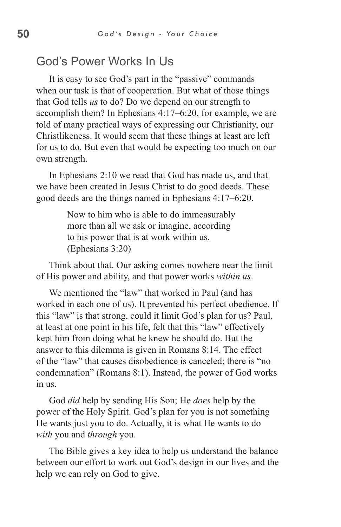## God's Power Works In Us

It is easy to see God's part in the "passive" commands when our task is that of cooperation. But what of those things that God tells *us* to do? Do we depend on our strength to accomplish them? In Ephesians 4:17–6:20, for example, we are told of many practical ways of expressing our Christianity, our Christlikeness. It would seem that these things at least are left for us to do. But even that would be expecting too much on our own strength.

In Ephesians 2:10 we read that God has made us, and that we have been created in Jesus Christ to do good deeds. These good deeds are the things named in Ephesians 4:17–6:20.

> Now to him who is able to do immeasurably more than all we ask or imagine, according to his power that is at work within us. (Ephesians 3:20)

Think about that. Our asking comes nowhere near the limit of His power and ability, and that power works *within us*.

We mentioned the "law" that worked in Paul (and has worked in each one of us). It prevented his perfect obedience. If this "law" is that strong, could it limit God's plan for us? Paul, at least at one point in his life, felt that this "law" effectively kept him from doing what he knew he should do. But the answer to this dilemma is given in Romans 8:14. The effect of the "law" that causes disobedience is canceled; there is "no condemnation" (Romans 8:1). Instead, the power of God works in us.

God *did* help by sending His Son; He *does* help by the power of the Holy Spirit. God's plan for you is not something He wants just you to do. Actually, it is what He wants to do *with* you and *through* you.

The Bible gives a key idea to help us understand the balance between our effort to work out God's design in our lives and the help we can rely on God to give.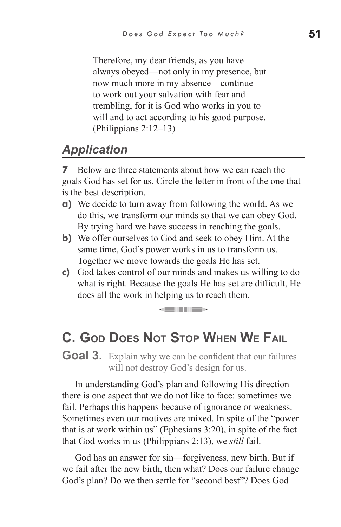Therefore, my dear friends, as you have always obeyed—not only in my presence, but now much more in my absence—continue to work out your salvation with fear and trembling, for it is God who works in you to will and to act according to his good purpose. (Philippians 2:12–13)

# *Application*

**7** Below are three statements about how we can reach the goals God has set for us. Circle the letter in front of the one that is the best description.

- **a)** We decide to turn away from following the world. As we do this, we transform our minds so that we can obey God. By trying hard we have success in reaching the goals.
- **b)** We offer ourselves to God and seek to obey Him. At the same time, God's power works in us to transform us. Together we move towards the goals He has set.
- **c)** God takes control of our minds and makes us willing to do what is right. Because the goals He has set are difficult, He does all the work in helping us to reach them.

**GENERAL MEDIAN** 

# **C. God Does Not Stop When We Fail**

**Goal 3.** Explain why we can be confident that our failures will not destroy God's design for us.

In understanding God's plan and following His direction there is one aspect that we do not like to face: sometimes we fail. Perhaps this happens because of ignorance or weakness. Sometimes even our motives are mixed. In spite of the "power that is at work within us" (Ephesians 3:20), in spite of the fact that God works in us (Philippians 2:13), we *still* fail.

God has an answer for sin—forgiveness, new birth. But if we fail after the new birth, then what? Does our failure change God's plan? Do we then settle for "second best"? Does God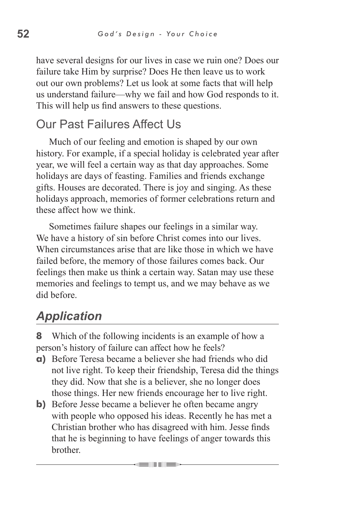have several designs for our lives in case we ruin one? Does our failure take Him by surprise? Does He then leave us to work out our own problems? Let us look at some facts that will help us understand failure—why we fail and how God responds to it. This will help us find answers to these questions.

#### Our Past Failures Affect Us

Much of our feeling and emotion is shaped by our own history. For example, if a special holiday is celebrated year after year, we will feel a certain way as that day approaches. Some holidays are days of feasting. Families and friends exchange gifts. Houses are decorated. There is joy and singing. As these holidays approach, memories of former celebrations return and these affect how we think.

Sometimes failure shapes our feelings in a similar way. We have a history of sin before Christ comes into our lives. When circumstances arise that are like those in which we have failed before, the memory of those failures comes back. Our feelings then make us think a certain way. Satan may use these memories and feelings to tempt us, and we may behave as we did before.

# *Application*

**8** Which of the following incidents is an example of how a person's history of failure can affect how he feels?

- **a)** Before Teresa became a believer she had friends who did not live right. To keep their friendship, Teresa did the things they did. Now that she is a believer, she no longer does those things. Her new friends encourage her to live right.
- **b**) Before Jesse became a believer he often became angry with people who opposed his ideas. Recently he has met a Christian brother who has disagreed with him. Jesse finds that he is beginning to have feelings of anger towards this **brother**

. . .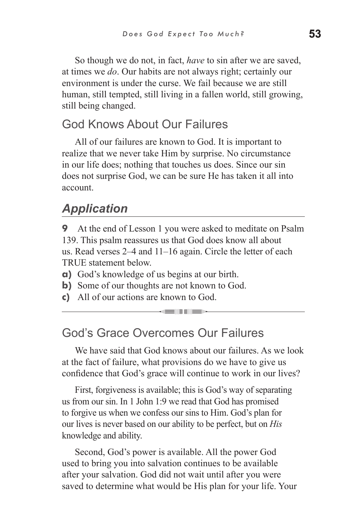So though we do not, in fact, *have* to sin after we are saved, at times we *do*. Our habits are not always right; certainly our environment is under the curse. We fail because we are still human, still tempted, still living in a fallen world, still growing, still being changed.

#### God Knows About Our Failures

All of our failures are known to God. It is important to realize that we never take Him by surprise. No circumstance in our life does; nothing that touches us does. Since our sin does not surprise God, we can be sure He has taken it all into account.

## *Application*

**9** At the end of Lesson 1 you were asked to meditate on Psalm 139. This psalm reassures us that God does know all about us. Read verses 2–4 and 11–16 again. Circle the letter of each TRUE statement below.

**a)** God's knowledge of us begins at our birth.

- **b**) Some of our thoughts are not known to God.
- **c)** All of our actions are known to God.

#### God's Grace Overcomes Our Failures

We have said that God knows about our failures. As we look at the fact of failure, what provisions do we have to give us confidence that God's grace will continue to work in our lives?

First, forgiveness is available; this is God's way of separating us from our sin. In 1 John 1:9 we read that God has promised to forgive us when we confess our sins to Him. God's plan for our lives is never based on our ability to be perfect, but on *His* knowledge and ability.

Second, God's power is available. All the power God used to bring you into salvation continues to be available after your salvation. God did not wait until after you were saved to determine what would be His plan for your life. Your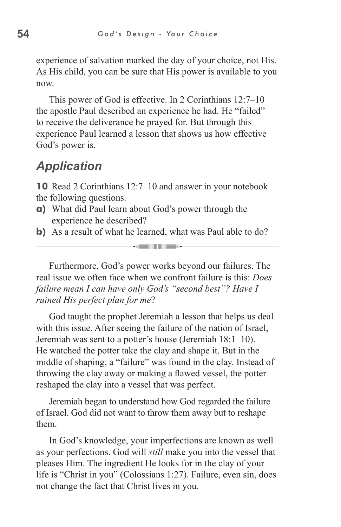experience of salvation marked the day of your choice, not His. As His child, you can be sure that His power is available to you now.

This power of God is effective. In 2 Corinthians 12:7–10 the apostle Paul described an experience he had. He "failed" to receive the deliverance he prayed for. But through this experience Paul learned a lesson that shows us how effective God's power is.

#### *Application*

**10** Read 2 Corinthians 12:7–10 and answer in your notebook the following questions.

- **a)** What did Paul learn about God's power through the experience he described?
- **b**) As a result of what he learned, what was Paul able to do? **Kanada**

Furthermore, God's power works beyond our failures. The real issue we often face when we confront failure is this: *Does failure mean I can have only God's "second best"? Have I ruined His perfect plan for me*?

God taught the prophet Jeremiah a lesson that helps us deal with this issue. After seeing the failure of the nation of Israel, Jeremiah was sent to a potter's house (Jeremiah 18:1–10). He watched the potter take the clay and shape it. But in the middle of shaping, a "failure" was found in the clay. Instead of throwing the clay away or making a flawed vessel, the potter reshaped the clay into a vessel that was perfect.

Jeremiah began to understand how God regarded the failure of Israel. God did not want to throw them away but to reshape them.

In God's knowledge, your imperfections are known as well as your perfections. God will *still* make you into the vessel that pleases Him. The ingredient He looks for in the clay of your life is "Christ in you" (Colossians 1:27). Failure, even sin, does not change the fact that Christ lives in you.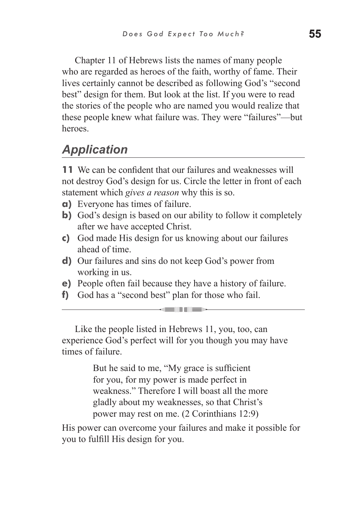Chapter 11 of Hebrews lists the names of many people who are regarded as heroes of the faith, worthy of fame. Their lives certainly cannot be described as following God's "second best" design for them. But look at the list. If you were to read the stories of the people who are named you would realize that these people knew what failure was. They were "failures"—but heroes.

# *Application*

**11** We can be confident that our failures and weaknesses will not destroy God's design for us. Circle the letter in front of each statement which *gives a reason* why this is so.

- **a)** Everyone has times of failure.
- **b)** God's design is based on our ability to follow it completely after we have accepted Christ.
- **c)** God made His design for us knowing about our failures ahead of time.
- **d)** Our failures and sins do not keep God's power from working in us.
- **e)** People often fail because they have a history of failure.

**GENERAL MEDIA** 

**f)** God has a "second best" plan for those who fail.

Like the people listed in Hebrews 11, you, too, can experience God's perfect will for you though you may have times of failure.

> But he said to me, "My grace is sufficient for you, for my power is made perfect in weakness." Therefore I will boast all the more gladly about my weaknesses, so that Christ's power may rest on me. (2 Corinthians 12:9)

His power can overcome your failures and make it possible for you to fulfill His design for you.